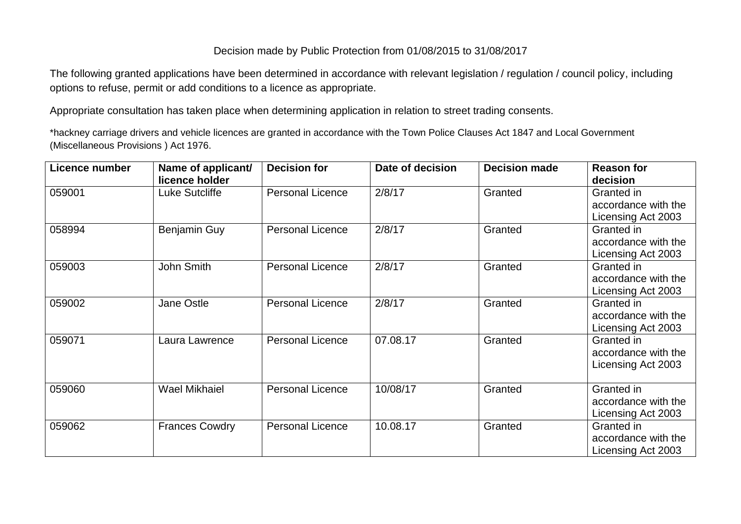## Decision made by Public Protection from 01/08/2015 to 31/08/2017

The following granted applications have been determined in accordance with relevant legislation / regulation / council policy, including options to refuse, permit or add conditions to a licence as appropriate.

Appropriate consultation has taken place when determining application in relation to street trading consents.

\*hackney carriage drivers and vehicle licences are granted in accordance with the Town Police Clauses Act 1847 and Local Government (Miscellaneous Provisions ) Act 1976.

| Licence number | Name of applicant/<br>licence holder | <b>Decision for</b>     | Date of decision | <b>Decision made</b> | <b>Reason for</b><br>decision                           |
|----------------|--------------------------------------|-------------------------|------------------|----------------------|---------------------------------------------------------|
| 059001         | Luke Sutcliffe                       | <b>Personal Licence</b> | 2/8/17           | Granted              | Granted in<br>accordance with the<br>Licensing Act 2003 |
| 058994         | Benjamin Guy                         | <b>Personal Licence</b> | 2/8/17           | Granted              | Granted in<br>accordance with the<br>Licensing Act 2003 |
| 059003         | John Smith                           | <b>Personal Licence</b> | 2/8/17           | Granted              | Granted in<br>accordance with the<br>Licensing Act 2003 |
| 059002         | Jane Ostle                           | <b>Personal Licence</b> | 2/8/17           | Granted              | Granted in<br>accordance with the<br>Licensing Act 2003 |
| 059071         | Laura Lawrence                       | <b>Personal Licence</b> | 07.08.17         | Granted              | Granted in<br>accordance with the<br>Licensing Act 2003 |
| 059060         | <b>Wael Mikhaiel</b>                 | <b>Personal Licence</b> | 10/08/17         | Granted              | Granted in<br>accordance with the<br>Licensing Act 2003 |
| 059062         | <b>Frances Cowdry</b>                | <b>Personal Licence</b> | 10.08.17         | Granted              | Granted in<br>accordance with the<br>Licensing Act 2003 |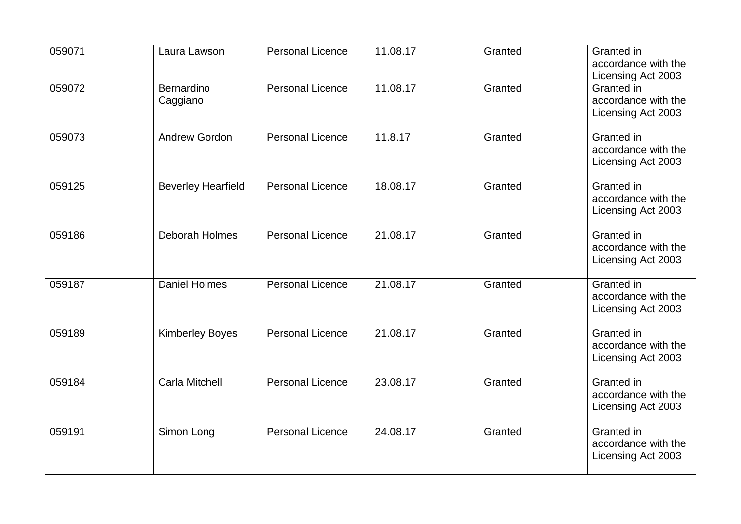| 059071 | Laura Lawson              | <b>Personal Licence</b> | 11.08.17 | Granted | Granted in<br>accordance with the<br>Licensing Act 2003 |
|--------|---------------------------|-------------------------|----------|---------|---------------------------------------------------------|
| 059072 | Bernardino<br>Caggiano    | <b>Personal Licence</b> | 11.08.17 | Granted | Granted in<br>accordance with the<br>Licensing Act 2003 |
| 059073 | <b>Andrew Gordon</b>      | <b>Personal Licence</b> | 11.8.17  | Granted | Granted in<br>accordance with the<br>Licensing Act 2003 |
| 059125 | <b>Beverley Hearfield</b> | <b>Personal Licence</b> | 18.08.17 | Granted | Granted in<br>accordance with the<br>Licensing Act 2003 |
| 059186 | Deborah Holmes            | <b>Personal Licence</b> | 21.08.17 | Granted | Granted in<br>accordance with the<br>Licensing Act 2003 |
| 059187 | <b>Daniel Holmes</b>      | <b>Personal Licence</b> | 21.08.17 | Granted | Granted in<br>accordance with the<br>Licensing Act 2003 |
| 059189 | <b>Kimberley Boyes</b>    | Personal Licence        | 21.08.17 | Granted | Granted in<br>accordance with the<br>Licensing Act 2003 |
| 059184 | <b>Carla Mitchell</b>     | <b>Personal Licence</b> | 23.08.17 | Granted | Granted in<br>accordance with the<br>Licensing Act 2003 |
| 059191 | Simon Long                | <b>Personal Licence</b> | 24.08.17 | Granted | Granted in<br>accordance with the<br>Licensing Act 2003 |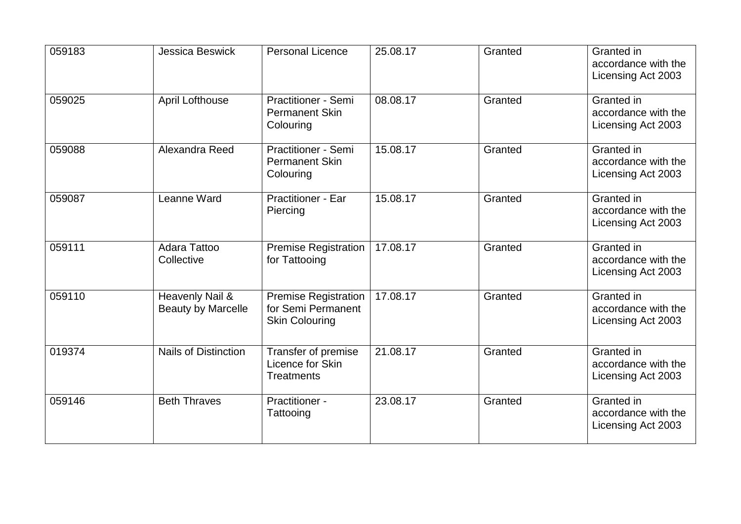| 059183 | Jessica Beswick                              | <b>Personal Licence</b>                                                    | 25.08.17 | Granted | Granted in<br>accordance with the<br>Licensing Act 2003 |
|--------|----------------------------------------------|----------------------------------------------------------------------------|----------|---------|---------------------------------------------------------|
| 059025 | <b>April Lofthouse</b>                       | Practitioner - Semi<br><b>Permanent Skin</b><br>Colouring                  | 08.08.17 | Granted | Granted in<br>accordance with the<br>Licensing Act 2003 |
| 059088 | Alexandra Reed                               | <b>Practitioner - Semi</b><br><b>Permanent Skin</b><br>Colouring           | 15.08.17 | Granted | Granted in<br>accordance with the<br>Licensing Act 2003 |
| 059087 | Leanne Ward                                  | <b>Practitioner - Ear</b><br>Piercing                                      | 15.08.17 | Granted | Granted in<br>accordance with the<br>Licensing Act 2003 |
| 059111 | Adara Tattoo<br>Collective                   | <b>Premise Registration</b><br>for Tattooing                               | 17.08.17 | Granted | Granted in<br>accordance with the<br>Licensing Act 2003 |
| 059110 | Heavenly Nail &<br><b>Beauty by Marcelle</b> | <b>Premise Registration</b><br>for Semi Permanent<br><b>Skin Colouring</b> | 17.08.17 | Granted | Granted in<br>accordance with the<br>Licensing Act 2003 |
| 019374 | <b>Nails of Distinction</b>                  | Transfer of premise<br>Licence for Skin<br><b>Treatments</b>               | 21.08.17 | Granted | Granted in<br>accordance with the<br>Licensing Act 2003 |
| 059146 | <b>Beth Thraves</b>                          | Practitioner -<br>Tattooing                                                | 23.08.17 | Granted | Granted in<br>accordance with the<br>Licensing Act 2003 |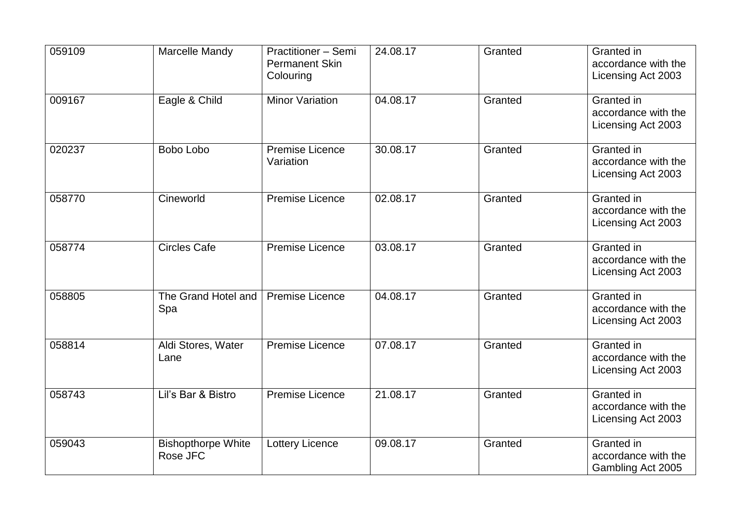| 059109 | Marcelle Mandy                        | <b>Practitioner - Semi</b><br><b>Permanent Skin</b><br>Colouring | 24.08.17 | Granted | Granted in<br>accordance with the<br>Licensing Act 2003 |
|--------|---------------------------------------|------------------------------------------------------------------|----------|---------|---------------------------------------------------------|
| 009167 | Eagle & Child                         | <b>Minor Variation</b>                                           | 04.08.17 | Granted | Granted in<br>accordance with the<br>Licensing Act 2003 |
| 020237 | Bobo Lobo                             | <b>Premise Licence</b><br>Variation                              | 30.08.17 | Granted | Granted in<br>accordance with the<br>Licensing Act 2003 |
| 058770 | Cineworld                             | <b>Premise Licence</b>                                           | 02.08.17 | Granted | Granted in<br>accordance with the<br>Licensing Act 2003 |
| 058774 | <b>Circles Cafe</b>                   | <b>Premise Licence</b>                                           | 03.08.17 | Granted | Granted in<br>accordance with the<br>Licensing Act 2003 |
| 058805 | The Grand Hotel and<br>Spa            | <b>Premise Licence</b>                                           | 04.08.17 | Granted | Granted in<br>accordance with the<br>Licensing Act 2003 |
| 058814 | Aldi Stores, Water<br>Lane            | <b>Premise Licence</b>                                           | 07.08.17 | Granted | Granted in<br>accordance with the<br>Licensing Act 2003 |
| 058743 | Lil's Bar & Bistro                    | <b>Premise Licence</b>                                           | 21.08.17 | Granted | Granted in<br>accordance with the<br>Licensing Act 2003 |
| 059043 | <b>Bishopthorpe White</b><br>Rose JFC | Lottery Licence                                                  | 09.08.17 | Granted | Granted in<br>accordance with the<br>Gambling Act 2005  |